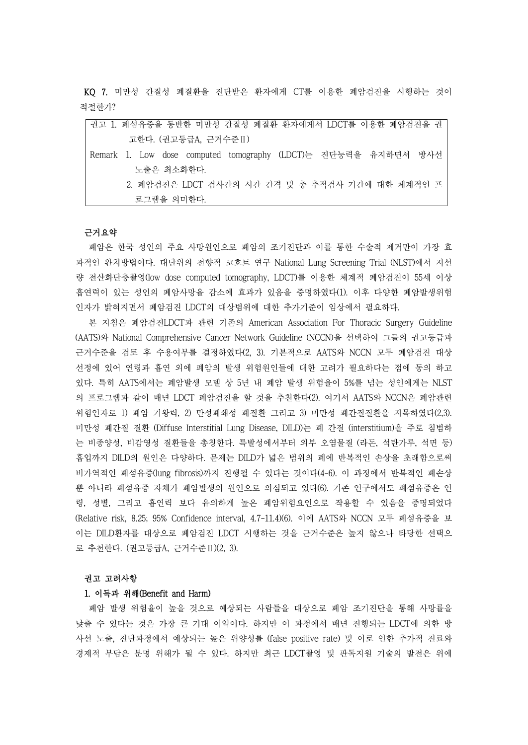KQ 7. 미만성 간질성 폐질환을 진단받은 환자에게 CT를 이용한 폐암검진을 시행하는 것이 적절한가?

### 근거요약

폐암은 한국 성인의 주요 사망원인으로 폐암의 조기진단과 이를 통한 수술적 제거만이 가장 효 과적인 완치방법이다. 대단위의 전향적 코호트 연구 National Lung Screening Trial (NLST)에서 저선 량 전산화단층촬영(low dose computed tomography, LDCT)를 이용한 체계적 폐암검진이 55세 이상 흡연력이 있는 성인의 폐암사망율 감소에 효과가 있음을 증명하였다(1). 이후 다양한 폐암발생위험 인자가 밝혀지면서 폐암검진 LDCT의 대상범위에 대한 추가기준이 임상에서 필요하다.

본 지침은 폐암검진LDCT과 관련 기존의 American Association For Thoracic Surgery Guideline (AATS)와 National Comprehensive Cancer Network Guideline (NCCN)을 선택하여 그들의 권고등급과 근거수준을 검토 후 수용여부를 결정하였다(2, 3). 기본적으로 AATS와 NCCN 모두 폐암검진 대상 선정에 있어 연령과 흡연 외에 폐암의 발생 위험원인들에 대한 고려가 필요하다는 점에 동의 하고 있다. 특히 AATS에서는 폐암발생 모델 상 5년 내 폐암 발생 위험율이 5%를 넘는 성인에게는 NLST 의 프로그램과 같이 매년 LDCT 폐암검진을 할 것을 추천한다(2). 여기서 AATS와 NCCN은 폐암관련 위험인자로 1) 폐암 기왕력, 2) 만성폐쇄성 폐질환 그리고 3) 미만성 폐간질질환을 지목하였다(2,3). 미만성 폐간질 질환 (Diffuse Interstitial Lung Disease, DILD)는 폐 간질 (interstitium)을 주로 침범하 는 비종양성, 비감영성 질환들을 총칭한다. 특발성에서부터 외부 오염물질 (라돈, 석탄가루, 석면 등) 흡입까지 DILD의 원인은 다양하다. 문제는 DILD가 넓은 범위의 폐에 반복적인 손상을 초래함으로써 비가역적인 폐섬유증(lung fibrosis)까지 진행될 수 있다는 것이다(4-6). 이 과정에서 반복적인 폐손상 뿐 아니라 폐섬유증 자체가 폐암발생의 원인으로 의심되고 있다(6). 기존 연구에서도 폐섬유증은 연 령, 성별, 그리고 흡연력 보다 유의하게 높은 폐암위험요인으로 작용할 수 있음을 증명되었다 (Relative risk, 8.25; 95% Confidence interval, 4.7-11.4)(6). 이에 AATS와 NCCN 모두 폐섬유증을 보 이는 DILD환자를 대상으로 폐암검진 LDCT 시행하는 것을 근거수준은 높지 않으나 타당한 선택으 로 추천한다. (권고등급A, 근거수준Ⅱ)(2, 3).

#### 권고 고려사항

## 1. 이득과 위해(Benefit and Harm)

폐암 발생 위험율이 높을 것으로 예상되는 사람들을 대상으로 폐암 조기진단을 통해 사망률을 낮출 수 있다는 것은 가장 큰 기대 이익이다. 하지만 이 과정에서 매년 진행되는 LDCT에 의한 방 사선 노출, 진단과정에서 예상되는 높은 위양성률 (false positive rate) 및 이로 인한 추가적 진료와 경제적 부담은 분명 위해가 될 수 있다. 하지만 최근 LDCT촬영 및 판독지원 기술의 발전은 위에